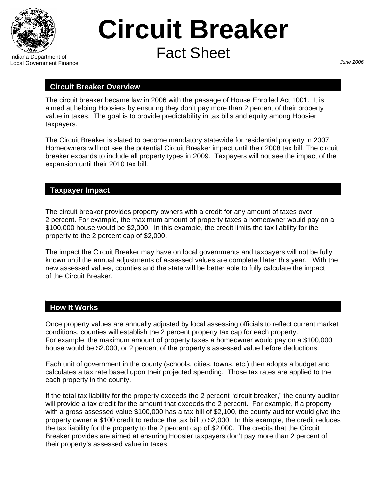

Ξ

# **Circuit Breaker**  Indiana Department of **Fact Sheet**

# **Circuit Breaker Overview**

The circuit breaker became law in 2006 with the passage of House Enrolled Act 1001. It is aimed at helping Hoosiers by ensuring they don't pay more than 2 percent of their property value in taxes. The goal is to provide predictability in tax bills and equity among Hoosier taxpayers.

The Circuit Breaker is slated to become mandatory statewide for residential property in 2007. Homeowners will not see the potential Circuit Breaker impact until their 2008 tax bill. The circuit breaker expands to include all property types in 2009. Taxpayers will not see the impact of the expansion until their 2010 tax bill.

### **Taxpayer Impact**

The circuit breaker provides property owners with a credit for any amount of taxes over 2 percent. For example, the maximum amount of property taxes a homeowner would pay on a \$100,000 house would be \$2,000. In this example, the credit limits the tax liability for the property to the 2 percent cap of \$2,000.

The impact the Circuit Breaker may have on local governments and taxpayers will not be fully known until the annual adjustments of assessed values are completed later this year. With the new assessed values, counties and the state will be better able to fully calculate the impact of the Circuit Breaker.

# **How It Works**

Once property values are annually adjusted by local assessing officials to reflect current market conditions, counties will establish the 2 percent property tax cap for each property. For example, the maximum amount of property taxes a homeowner would pay on a \$100,000 house would be \$2,000, or 2 percent of the property's assessed value before deductions.

Each unit of government in the county (schools, cities, towns, etc.) then adopts a budget and calculates a tax rate based upon their projected spending. Those tax rates are applied to the each property in the county.

If the total tax liability for the property exceeds the 2 percent "circuit breaker," the county auditor will provide a tax credit for the amount that exceeds the 2 percent. For example, if a property with a gross assessed value \$100,000 has a tax bill of \$2,100, the county auditor would give the property owner a \$100 credit to reduce the tax bill to \$2,000. In this example, the credit reduces the tax liability for the property to the 2 percent cap of \$2,000. The credits that the Circuit Breaker provides are aimed at ensuring Hoosier taxpayers don't pay more than 2 percent of their property's assessed value in taxes.